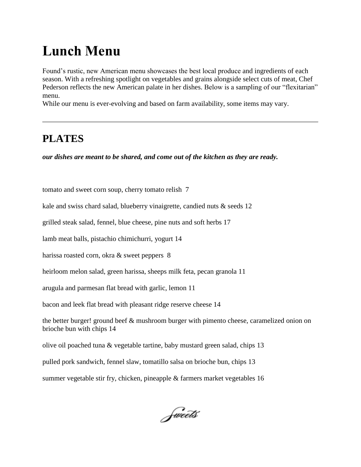## **Lunch Menu**

Found's rustic, new American menu showcases the best local produce and ingredients of each season. With a refreshing spotlight on vegetables and grains alongside select cuts of meat, Chef Pederson reflects the new American palate in her dishes. Below is a sampling of our "flexitarian" menu.

While our menu is ever-evolving and based on farm availability, some items may vary.

## **PLATES**

*our dishes are meant to be shared, and come out of the kitchen as they are ready.*

tomato and sweet corn soup, cherry tomato relish 7

kale and swiss chard salad, blueberry vinaigrette, candied nuts & seeds 12

grilled steak salad, fennel, blue cheese, pine nuts and soft herbs 17

lamb meat balls, pistachio chimichurri, yogurt 14

harissa roasted corn, okra & sweet peppers 8

heirloom melon salad, green harissa, sheeps milk feta, pecan granola 11

arugula and parmesan flat bread with garlic, lemon 11

bacon and leek flat bread with pleasant ridge reserve cheese 14

the better burger! ground beef & mushroom burger with pimento cheese, caramelized onion on brioche bun with chips 14

olive oil poached tuna & vegetable tartine, baby mustard green salad, chips 13

pulled pork sandwich, fennel slaw, tomatillo salsa on brioche bun, chips 13

summer vegetable stir fry, chicken, pineapple & farmers market vegetables 16

Sweets